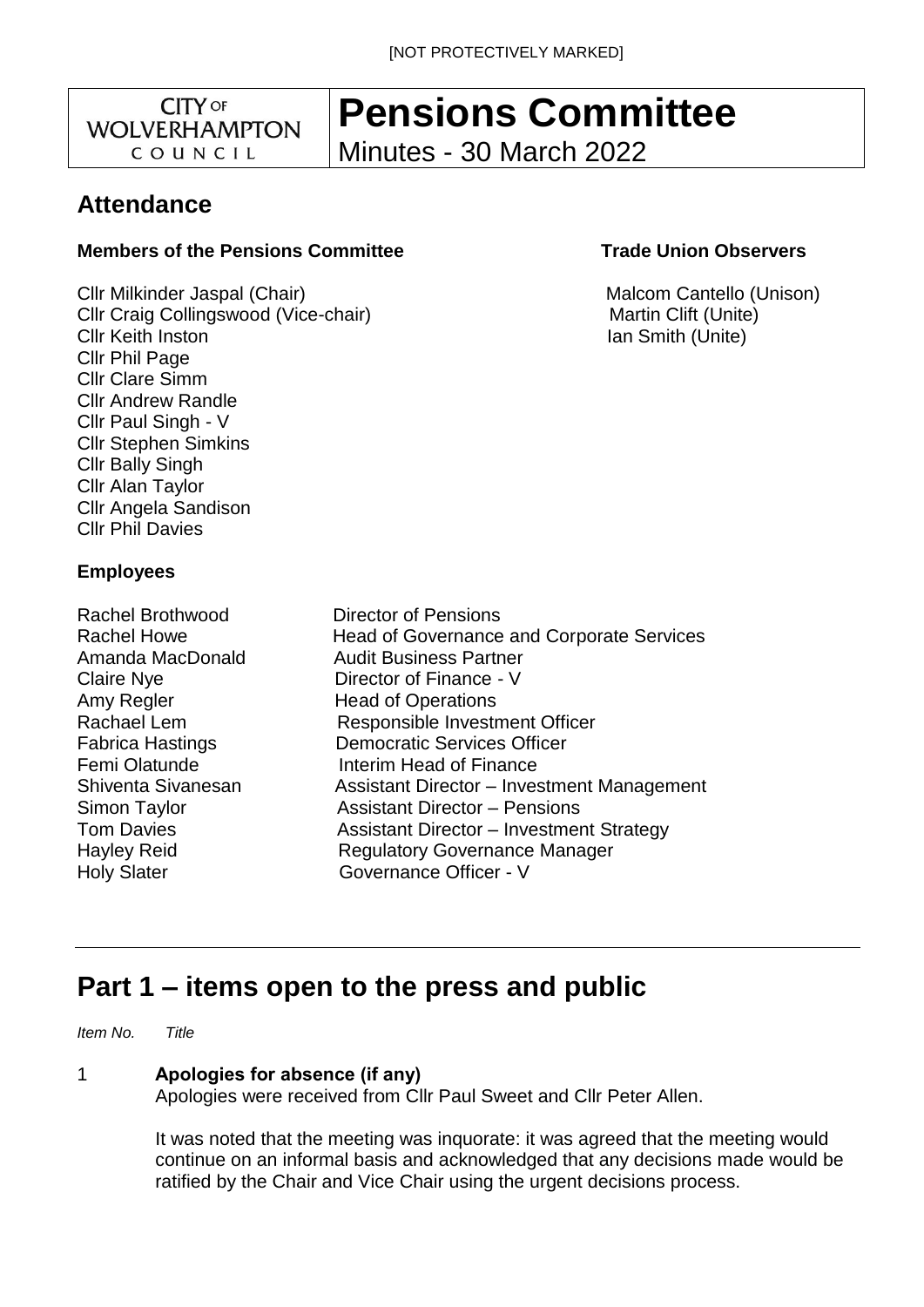**CITY OF WOLVERHAMPTON** COUNCIL

# **Pensions Committee**

Minutes - 30 March 2022

## **Attendance**

### **Members of the Pensions Committee Trade Union Observers**

Cllr Milkinder Jaspal (Chair) Malcom Cantello (Unison) Cllr Craig Collingswood (Vice-chair) Cllr Craig Martin Clift (Unite) **Cllr Keith Inston Ian Smith (Unite)** Cllr Phil Page Cllr Clare Simm Cllr Andrew Randle Cllr Paul Singh - V Cllr Stephen Simkins Cllr Bally Singh Cllr Alan Taylor Cllr Angela Sandison Cllr Phil Davies

- **Employees**
- Rachel Brothwood Director of Pensions Amy Regler **Head of Operations** Holy Slater Governance Officer - V

Rachel Howe **Head of Governance and Corporate Services** Amanda MacDonald **Audit Business Partner** Claire Nye **Director of Finance - V** Rachael Lem Responsible Investment Officer Fabrica Hastings **Democratic Services Officer** Femi Olatunde **Interim Head of Finance** Shiventa Sivanesan Assistant Director – Investment Management Simon Taylor **Assistant Director – Pensions** Tom Davies **Assistant Director – Investment Strategy** Hayley Reid **Regulatory Governance Manager** 

# **Part 1 – items open to the press and public**

*Item No. Title*

#### 1 **Apologies for absence (if any)**

Apologies were received from Cllr Paul Sweet and Cllr Peter Allen.

It was noted that the meeting was inquorate: it was agreed that the meeting would continue on an informal basis and acknowledged that any decisions made would be ratified by the Chair and Vice Chair using the urgent decisions process.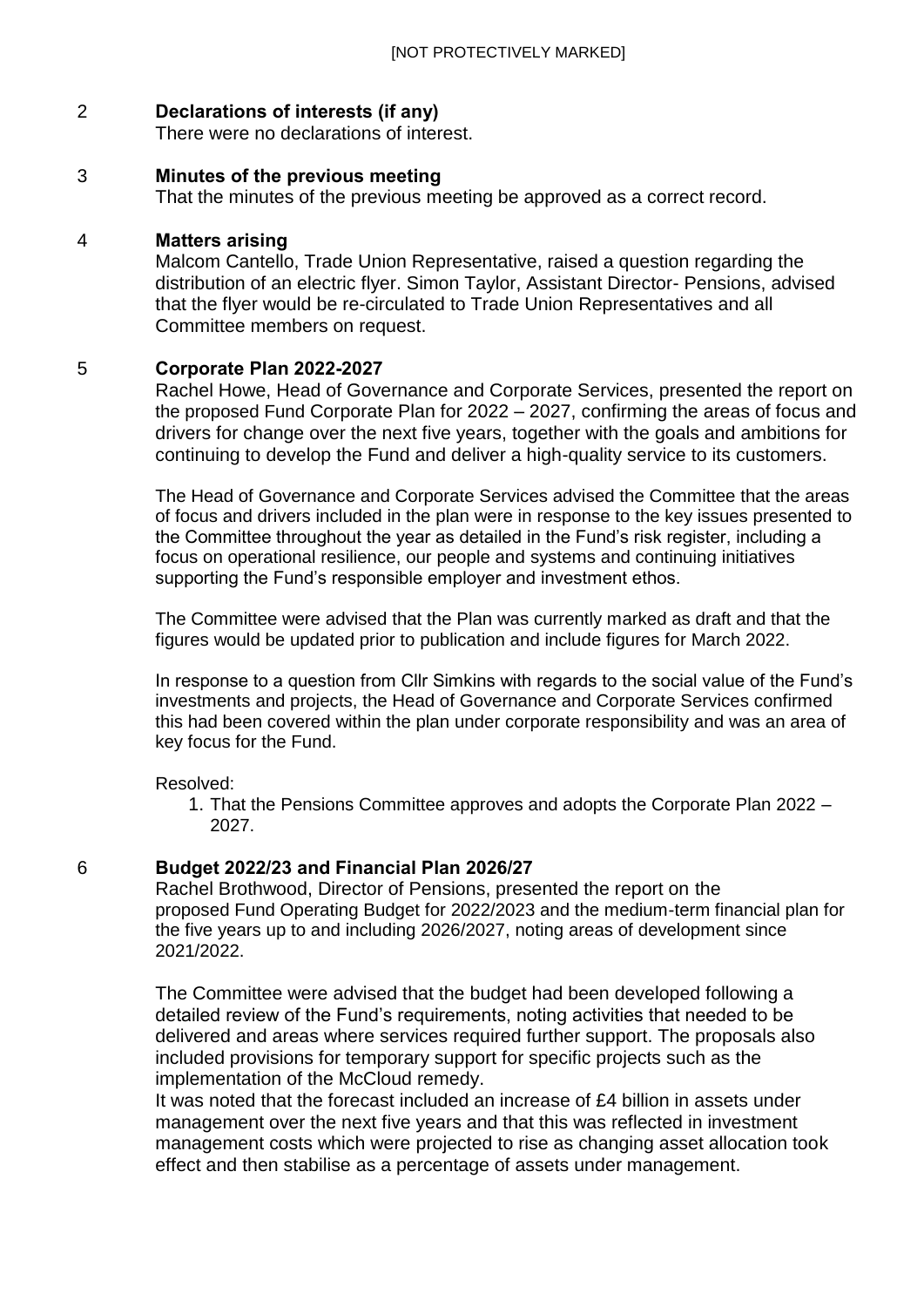#### 2 **Declarations of interests (if any)**

There were no declarations of interest.

#### 3 **Minutes of the previous meeting**

That the minutes of the previous meeting be approved as a correct record.

#### 4 **Matters arising**

Malcom Cantello, Trade Union Representative, raised a question regarding the distribution of an electric flyer. Simon Taylor, Assistant Director- Pensions, advised that the flyer would be re-circulated to Trade Union Representatives and all Committee members on request.

#### 5 **Corporate Plan 2022-2027**

Rachel Howe, Head of Governance and Corporate Services, presented the report on the proposed Fund Corporate Plan for 2022 – 2027, confirming the areas of focus and drivers for change over the next five years, together with the goals and ambitions for continuing to develop the Fund and deliver a high-quality service to its customers.

The Head of Governance and Corporate Services advised the Committee that the areas of focus and drivers included in the plan were in response to the key issues presented to the Committee throughout the year as detailed in the Fund's risk register, including a focus on operational resilience, our people and systems and continuing initiatives supporting the Fund's responsible employer and investment ethos.

The Committee were advised that the Plan was currently marked as draft and that the figures would be updated prior to publication and include figures for March 2022.

In response to a question from Cllr Simkins with regards to the social value of the Fund's investments and projects, the Head of Governance and Corporate Services confirmed this had been covered within the plan under corporate responsibility and was an area of key focus for the Fund.

Resolved:

1. That the Pensions Committee approves and adopts the Corporate Plan 2022 – 2027.

#### 6 **Budget 2022/23 and Financial Plan 2026/27**

Rachel Brothwood, Director of Pensions, presented the report on the proposed Fund Operating Budget for 2022/2023 and the medium-term financial plan for the five years up to and including 2026/2027, noting areas of development since 2021/2022.

The Committee were advised that the budget had been developed following a detailed review of the Fund's requirements, noting activities that needed to be delivered and areas where services required further support. The proposals also included provisions for temporary support for specific projects such as the implementation of the McCloud remedy.

It was noted that the forecast included an increase of £4 billion in assets under management over the next five years and that this was reflected in investment management costs which were projected to rise as changing asset allocation took effect and then stabilise as a percentage of assets under management.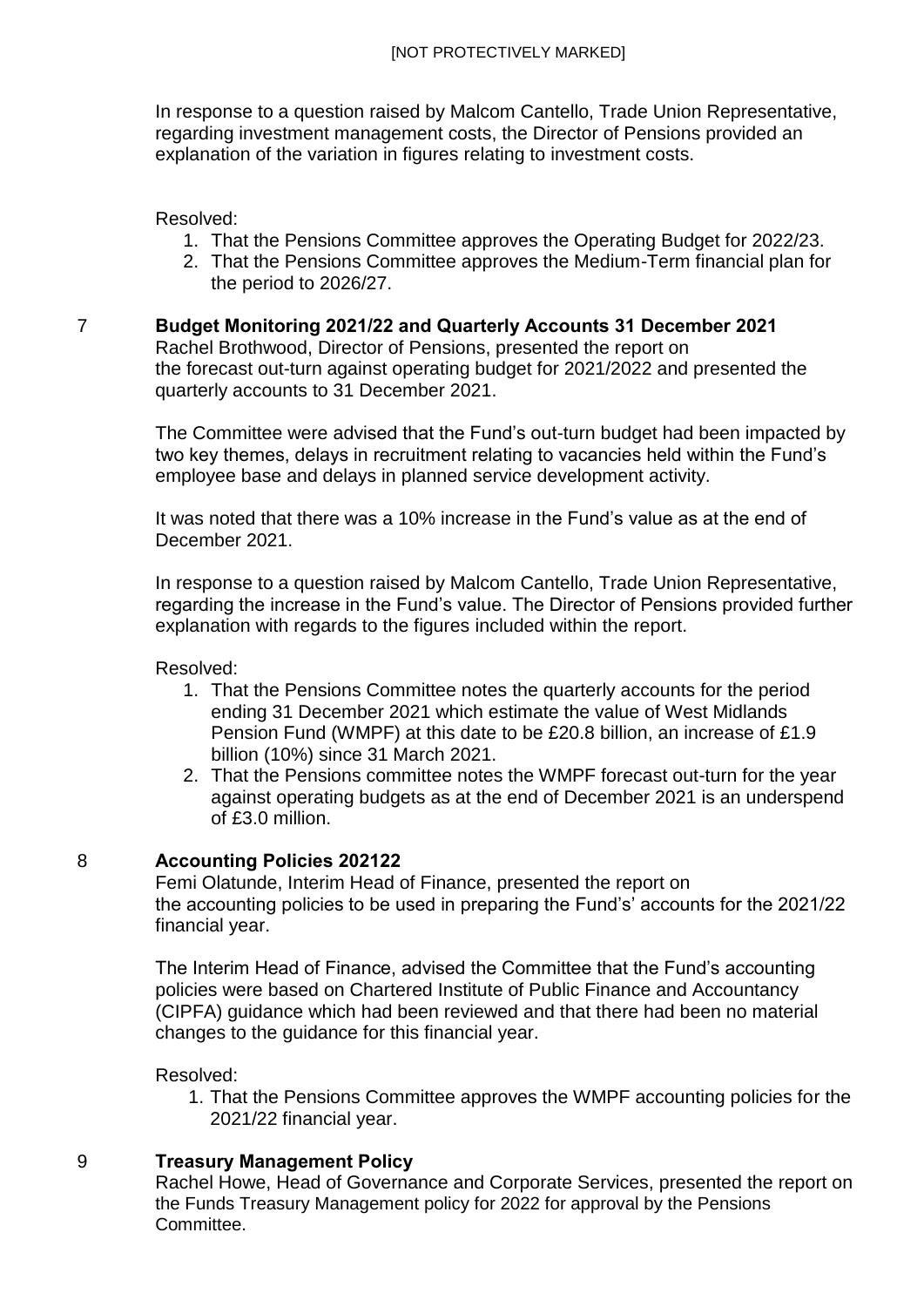In response to a question raised by Malcom Cantello, Trade Union Representative, regarding investment management costs, the Director of Pensions provided an explanation of the variation in figures relating to investment costs.

Resolved:

- 1. That the Pensions Committee approves the Operating Budget for 2022/23.
- 2. That the Pensions Committee approves the Medium-Term financial plan for the period to 2026/27.

#### 7 **Budget Monitoring 2021/22 and Quarterly Accounts 31 December 2021**

Rachel Brothwood, Director of Pensions, presented the report on the forecast out-turn against operating budget for 2021/2022 and presented the quarterly accounts to 31 December 2021.

The Committee were advised that the Fund's out-turn budget had been impacted by two key themes, delays in recruitment relating to vacancies held within the Fund's employee base and delays in planned service development activity.

It was noted that there was a 10% increase in the Fund's value as at the end of December 2021.

In response to a question raised by Malcom Cantello, Trade Union Representative, regarding the increase in the Fund's value. The Director of Pensions provided further explanation with regards to the figures included within the report.

Resolved:

- 1. That the Pensions Committee notes the quarterly accounts for the period ending 31 December 2021 which estimate the value of West Midlands Pension Fund (WMPF) at this date to be £20.8 billion, an increase of £1.9 billion (10%) since 31 March 2021.
- 2. That the Pensions committee notes the WMPF forecast out-turn for the year against operating budgets as at the end of December 2021 is an underspend of £3.0 million.

#### 8 **Accounting Policies 202122**

Femi Olatunde, Interim Head of Finance, presented the report on the accounting policies to be used in preparing the Fund's' accounts for the 2021/22 financial year.

The Interim Head of Finance, advised the Committee that the Fund's accounting policies were based on Chartered Institute of Public Finance and Accountancy (CIPFA) guidance which had been reviewed and that there had been no material changes to the guidance for this financial year.

Resolved:

1. That the Pensions Committee approves the WMPF accounting policies for the 2021/22 financial year.

#### 9 **Treasury Management Policy**

Rachel Howe, Head of Governance and Corporate Services, presented the report on the Funds Treasury Management policy for 2022 for approval by the Pensions Committee.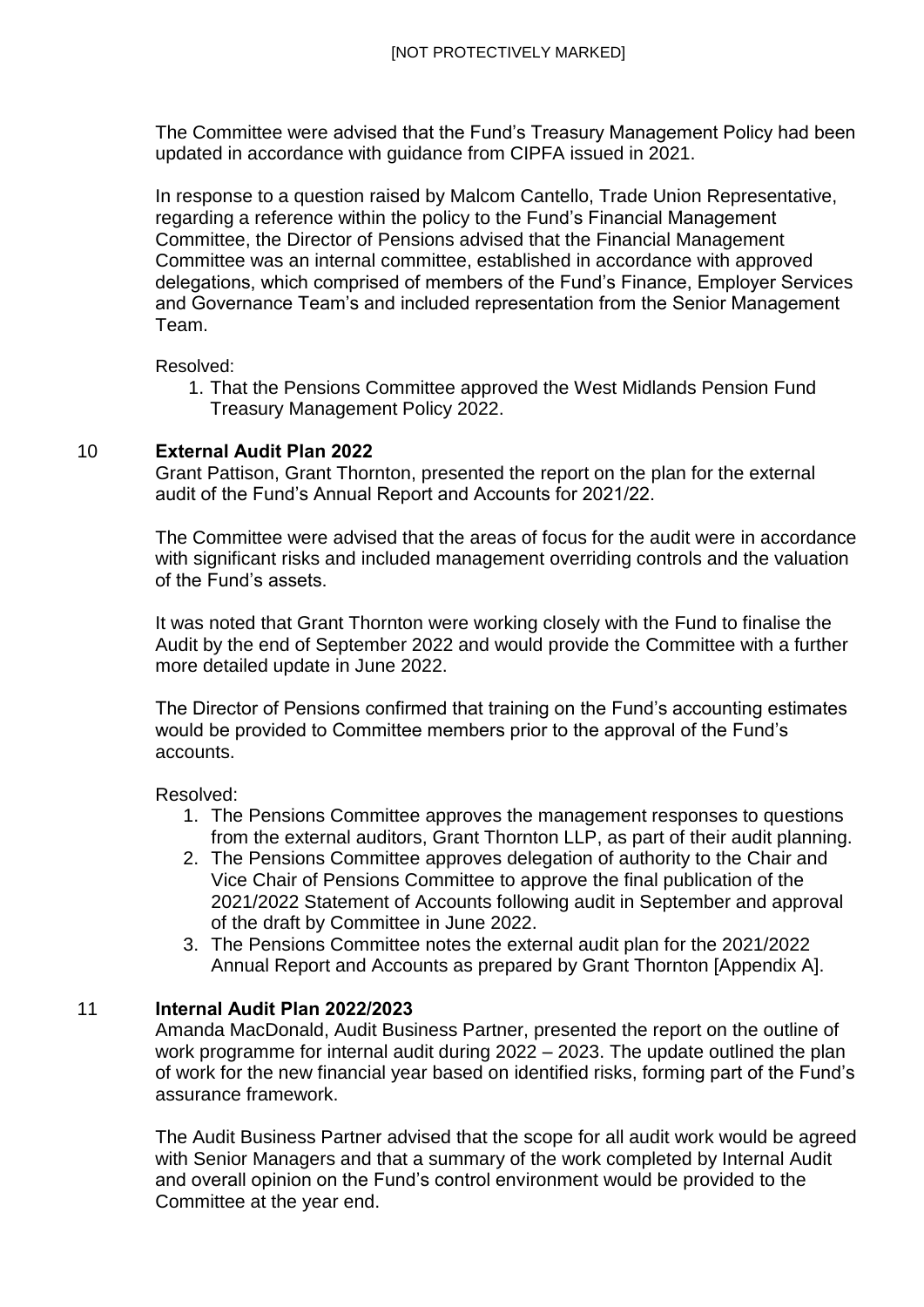The Committee were advised that the Fund's Treasury Management Policy had been updated in accordance with guidance from CIPFA issued in 2021.

In response to a question raised by Malcom Cantello, Trade Union Representative, regarding a reference within the policy to the Fund's Financial Management Committee, the Director of Pensions advised that the Financial Management Committee was an internal committee, established in accordance with approved delegations, which comprised of members of the Fund's Finance, Employer Services and Governance Team's and included representation from the Senior Management Team.

Resolved:

1. That the Pensions Committee approved the West Midlands Pension Fund Treasury Management Policy 2022.

#### 10 **External Audit Plan 2022**

Grant Pattison, Grant Thornton, presented the report on the plan for the external audit of the Fund's Annual Report and Accounts for 2021/22.

The Committee were advised that the areas of focus for the audit were in accordance with significant risks and included management overriding controls and the valuation of the Fund's assets.

It was noted that Grant Thornton were working closely with the Fund to finalise the Audit by the end of September 2022 and would provide the Committee with a further more detailed update in June 2022.

The Director of Pensions confirmed that training on the Fund's accounting estimates would be provided to Committee members prior to the approval of the Fund's accounts.

#### Resolved:

- 1. The Pensions Committee approves the management responses to questions from the external auditors, Grant Thornton LLP, as part of their audit planning.
- 2. The Pensions Committee approves delegation of authority to the Chair and Vice Chair of Pensions Committee to approve the final publication of the 2021/2022 Statement of Accounts following audit in September and approval of the draft by Committee in June 2022.
- 3. The Pensions Committee notes the external audit plan for the 2021/2022 Annual Report and Accounts as prepared by Grant Thornton [Appendix A].

#### 11 **Internal Audit Plan 2022/2023**

Amanda MacDonald, Audit Business Partner, presented the report on the outline of work programme for internal audit during 2022 – 2023. The update outlined the plan of work for the new financial year based on identified risks, forming part of the Fund's assurance framework.

The Audit Business Partner advised that the scope for all audit work would be agreed with Senior Managers and that a summary of the work completed by Internal Audit and overall opinion on the Fund's control environment would be provided to the Committee at the year end.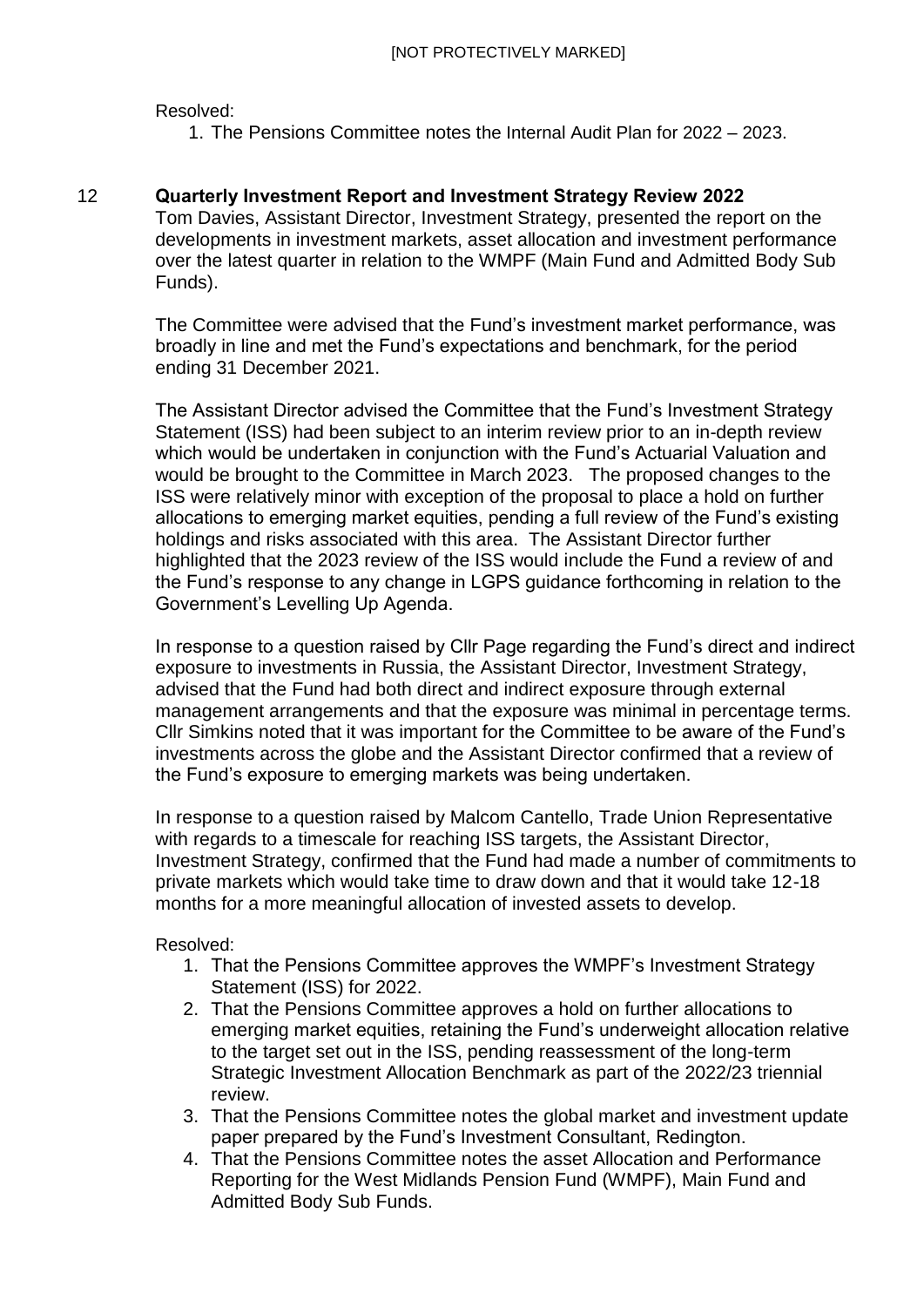Resolved:

1. The Pensions Committee notes the Internal Audit Plan for 2022 – 2023.

#### 12 **Quarterly Investment Report and Investment Strategy Review 2022** Tom Davies, Assistant Director, Investment Strategy, presented the report on the developments in investment markets, asset allocation and investment performance over the latest quarter in relation to the WMPF (Main Fund and Admitted Body Sub Funds).

The Committee were advised that the Fund's investment market performance, was broadly in line and met the Fund's expectations and benchmark, for the period ending 31 December 2021.

The Assistant Director advised the Committee that the Fund's Investment Strategy Statement (ISS) had been subject to an interim review prior to an in-depth review which would be undertaken in conjunction with the Fund's Actuarial Valuation and would be brought to the Committee in March 2023. The proposed changes to the ISS were relatively minor with exception of the proposal to place a hold on further allocations to emerging market equities, pending a full review of the Fund's existing holdings and risks associated with this area. The Assistant Director further highlighted that the 2023 review of the ISS would include the Fund a review of and the Fund's response to any change in LGPS guidance forthcoming in relation to the Government's Levelling Up Agenda.

In response to a question raised by CIIr Page regarding the Fund's direct and indirect exposure to investments in Russia, the Assistant Director, Investment Strategy, advised that the Fund had both direct and indirect exposure through external management arrangements and that the exposure was minimal in percentage terms. Cllr Simkins noted that it was important for the Committee to be aware of the Fund's investments across the globe and the Assistant Director confirmed that a review of the Fund's exposure to emerging markets was being undertaken.

In response to a question raised by Malcom Cantello, Trade Union Representative with regards to a timescale for reaching ISS targets, the Assistant Director, Investment Strategy, confirmed that the Fund had made a number of commitments to private markets which would take time to draw down and that it would take 12-18 months for a more meaningful allocation of invested assets to develop.

Resolved:

- 1. That the Pensions Committee approves the WMPF's Investment Strategy Statement (ISS) for 2022.
- 2. That the Pensions Committee approves a hold on further allocations to emerging market equities, retaining the Fund's underweight allocation relative to the target set out in the ISS, pending reassessment of the long-term Strategic Investment Allocation Benchmark as part of the 2022/23 triennial review.
- 3. That the Pensions Committee notes the global market and investment update paper prepared by the Fund's Investment Consultant, Redington.
- 4. That the Pensions Committee notes the asset Allocation and Performance Reporting for the West Midlands Pension Fund (WMPF), Main Fund and Admitted Body Sub Funds.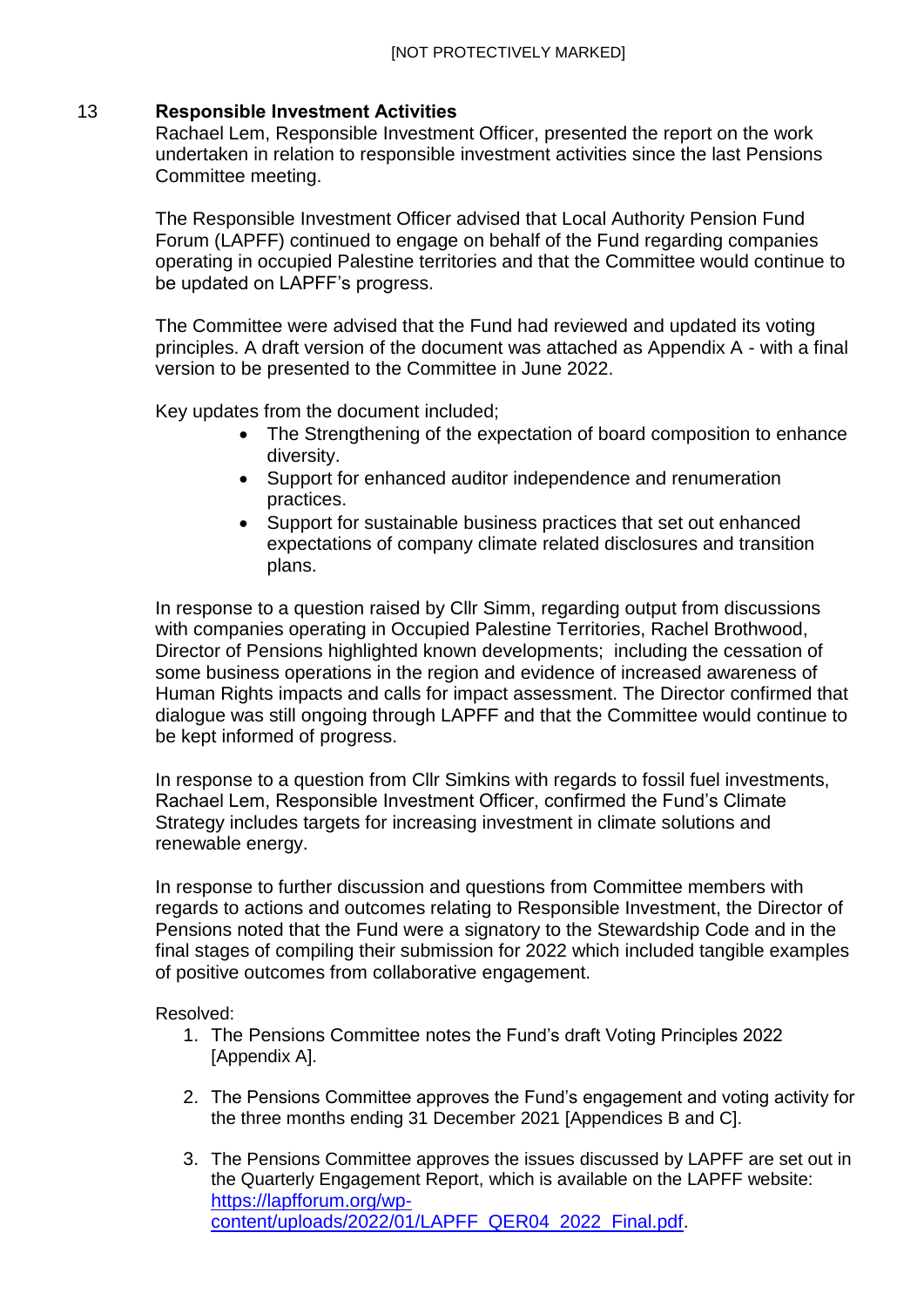#### 13 **Responsible Investment Activities**

Rachael Lem, Responsible Investment Officer, presented the report on the work undertaken in relation to responsible investment activities since the last Pensions Committee meeting.

The Responsible Investment Officer advised that Local Authority Pension Fund Forum (LAPFF) continued to engage on behalf of the Fund regarding companies operating in occupied Palestine territories and that the Committee would continue to be updated on LAPFF's progress.

The Committee were advised that the Fund had reviewed and updated its voting principles. A draft version of the document was attached as Appendix A - with a final version to be presented to the Committee in June 2022.

Key updates from the document included;

- The Strengthening of the expectation of board composition to enhance diversity.
- Support for enhanced auditor independence and renumeration practices.
- Support for sustainable business practices that set out enhanced expectations of company climate related disclosures and transition plans.

In response to a question raised by Cllr Simm, regarding output from discussions with companies operating in Occupied Palestine Territories, Rachel Brothwood, Director of Pensions highlighted known developments; including the cessation of some business operations in the region and evidence of increased awareness of Human Rights impacts and calls for impact assessment. The Director confirmed that dialogue was still ongoing through LAPFF and that the Committee would continue to be kept informed of progress.

In response to a question from Cllr Simkins with regards to fossil fuel investments, Rachael Lem, Responsible Investment Officer, confirmed the Fund's Climate Strategy includes targets for increasing investment in climate solutions and renewable energy.

In response to further discussion and questions from Committee members with regards to actions and outcomes relating to Responsible Investment, the Director of Pensions noted that the Fund were a signatory to the Stewardship Code and in the final stages of compiling their submission for 2022 which included tangible examples of positive outcomes from collaborative engagement.

Resolved:

- 1. The Pensions Committee notes the Fund's draft Voting Principles 2022 [Appendix A].
- 2. The Pensions Committee approves the Fund's engagement and voting activity for the three months ending 31 December 2021 [Appendices B and C].
- 3. The Pensions Committee approves the issues discussed by LAPFF are set out in the Quarterly Engagement Report, which is available on the LAPFF website: [https://lapfforum.org/wp](https://lapfforum.org/wp-content/uploads/2022/01/LAPFF_QER04_2022_Final.pdf)[content/uploads/2022/01/LAPFF\\_QER04\\_2022\\_Final.pdf.](https://lapfforum.org/wp-content/uploads/2022/01/LAPFF_QER04_2022_Final.pdf)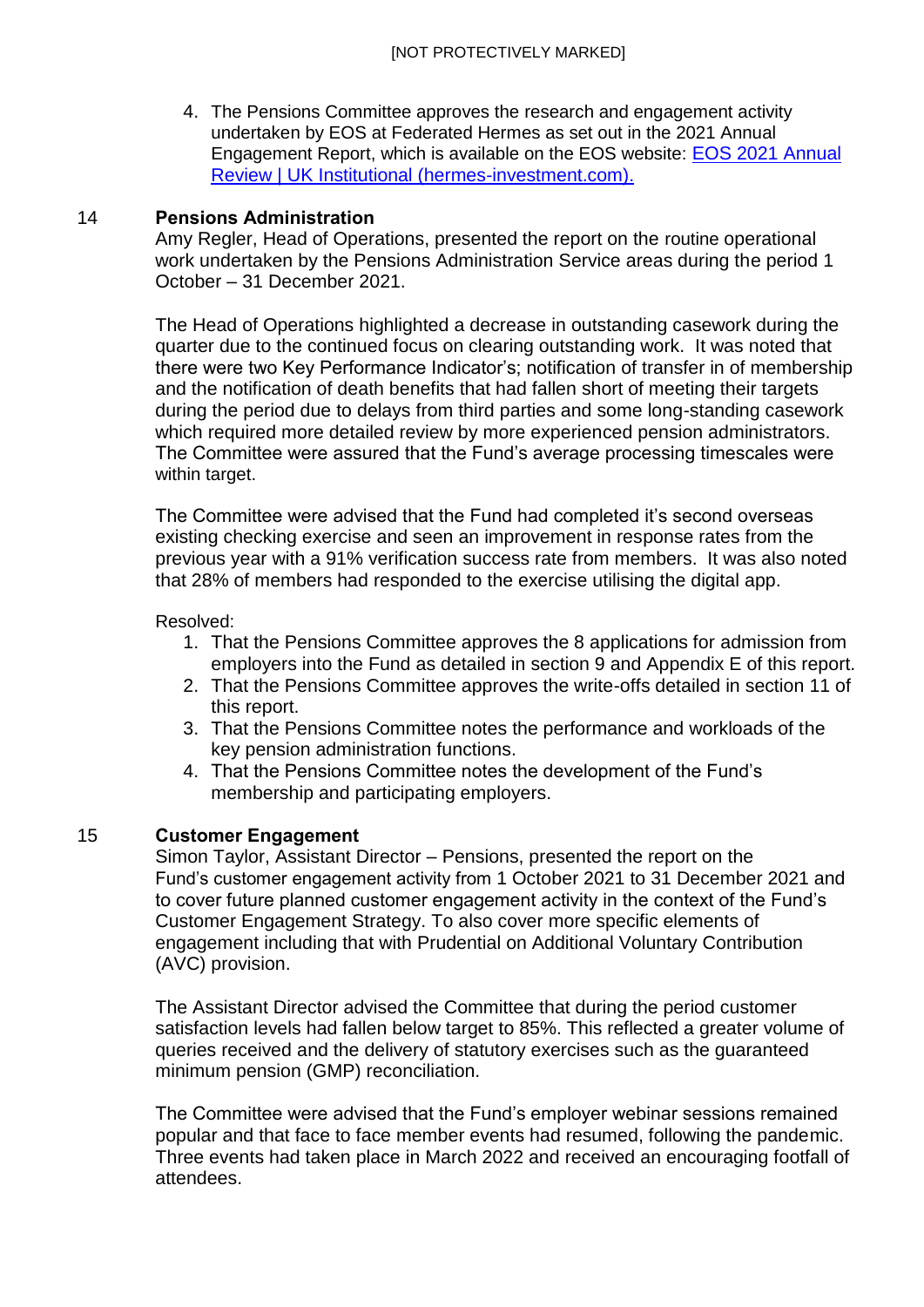4. The Pensions Committee approves the research and engagement activity undertaken by EOS at Federated Hermes as set out in the 2021 Annual Engagement Report, which is available on the EOS website: EOS [2021 Annual](https://www.hermes-investment.com/uki/eos-insight/eos/eos-2021-annual-review/)  [Review | UK Institutional \(hermes-investment.com\).](https://www.hermes-investment.com/uki/eos-insight/eos/eos-2021-annual-review/)

#### 14 **Pensions Administration**

Amy Regler, Head of Operations, presented the report on the routine operational work undertaken by the Pensions Administration Service areas during the period 1 October – 31 December 2021.

The Head of Operations highlighted a decrease in outstanding casework during the quarter due to the continued focus on clearing outstanding work. It was noted that there were two Key Performance Indicator's; notification of transfer in of membership and the notification of death benefits that had fallen short of meeting their targets during the period due to delays from third parties and some long-standing casework which required more detailed review by more experienced pension administrators. The Committee were assured that the Fund's average processing timescales were within target.

The Committee were advised that the Fund had completed it's second overseas existing checking exercise and seen an improvement in response rates from the previous year with a 91% verification success rate from members. It was also noted that 28% of members had responded to the exercise utilising the digital app.

Resolved:

- 1. That the Pensions Committee approves the 8 applications for admission from employers into the Fund as detailed in section 9 and Appendix E of this report.
- 2. That the Pensions Committee approves the write-offs detailed in section 11 of this report.
- 3. That the Pensions Committee notes the performance and workloads of the key pension administration functions.
- 4. That the Pensions Committee notes the development of the Fund's membership and participating employers.

#### 15 **Customer Engagement**

Simon Taylor, Assistant Director – Pensions, presented the report on the Fund's customer engagement activity from 1 October 2021 to 31 December 2021 and to cover future planned customer engagement activity in the context of the Fund's Customer Engagement Strategy. To also cover more specific elements of engagement including that with Prudential on Additional Voluntary Contribution (AVC) provision.

The Assistant Director advised the Committee that during the period customer satisfaction levels had fallen below target to 85%. This reflected a greater volume of queries received and the delivery of statutory exercises such as the guaranteed minimum pension (GMP) reconciliation.

The Committee were advised that the Fund's employer webinar sessions remained popular and that face to face member events had resumed, following the pandemic. Three events had taken place in March 2022 and received an encouraging footfall of attendees.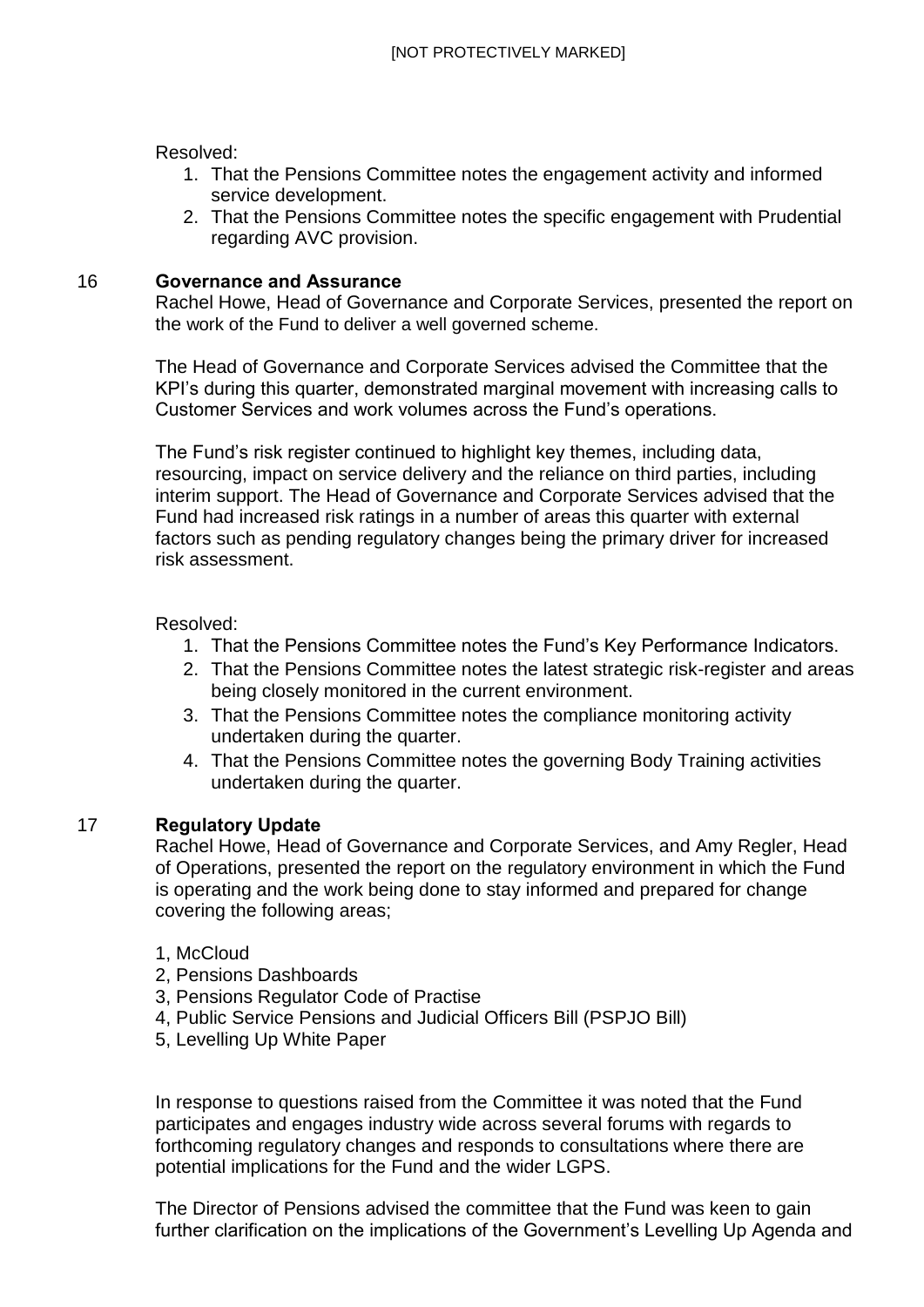Resolved:

- 1. That the Pensions Committee notes the engagement activity and informed service development.
- 2. That the Pensions Committee notes the specific engagement with Prudential regarding AVC provision.

#### 16 **Governance and Assurance**

Rachel Howe, Head of Governance and Corporate Services, presented the report on the work of the Fund to deliver a well governed scheme.

The Head of Governance and Corporate Services advised the Committee that the KPI's during this quarter, demonstrated marginal movement with increasing calls to Customer Services and work volumes across the Fund's operations.

The Fund's risk register continued to highlight key themes, including data, resourcing, impact on service delivery and the reliance on third parties, including interim support. The Head of Governance and Corporate Services advised that the Fund had increased risk ratings in a number of areas this quarter with external factors such as pending regulatory changes being the primary driver for increased risk assessment.

Resolved:

- 1. That the Pensions Committee notes the Fund's Key Performance Indicators.
- 2. That the Pensions Committee notes the latest strategic risk-register and areas being closely monitored in the current environment.
- 3. That the Pensions Committee notes the compliance monitoring activity undertaken during the quarter.
- 4. That the Pensions Committee notes the governing Body Training activities undertaken during the quarter.

#### 17 **Regulatory Update**

Rachel Howe, Head of Governance and Corporate Services, and Amy Regler, Head of Operations, presented the report on the regulatory environment in which the Fund is operating and the work being done to stay informed and prepared for change covering the following areas;

#### 1, McCloud

- 2, Pensions Dashboards
- 3, Pensions Regulator Code of Practise
- 4, Public Service Pensions and Judicial Officers Bill (PSPJO Bill)
- 5, Levelling Up White Paper

In response to questions raised from the Committee it was noted that the Fund participates and engages industry wide across several forums with regards to forthcoming regulatory changes and responds to consultations where there are potential implications for the Fund and the wider LGPS.

The Director of Pensions advised the committee that the Fund was keen to gain further clarification on the implications of the Government's Levelling Up Agenda and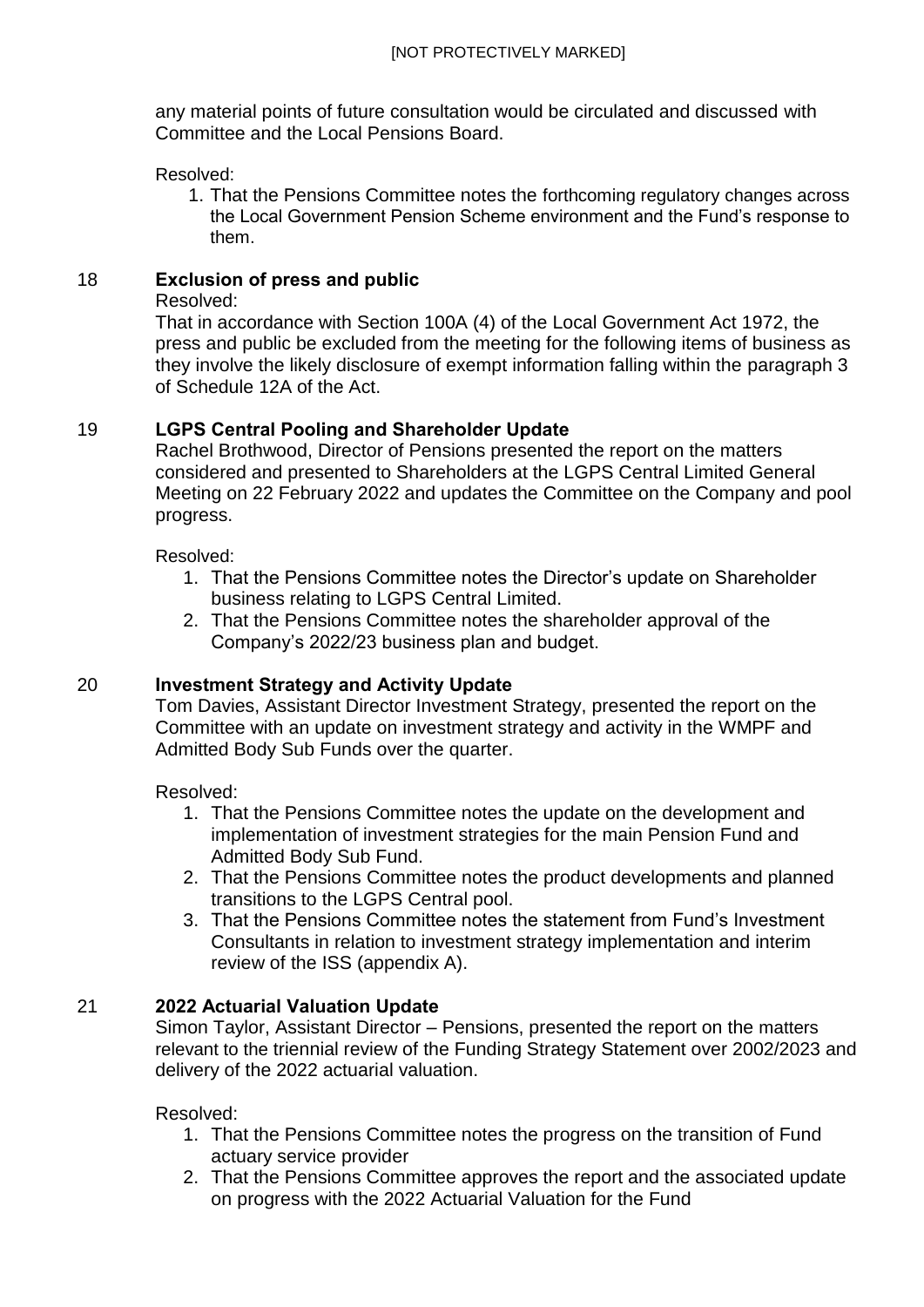any material points of future consultation would be circulated and discussed with Committee and the Local Pensions Board.

Resolved:

1. That the Pensions Committee notes the forthcoming regulatory changes across the Local Government Pension Scheme environment and the Fund's response to them.

#### 18 **Exclusion of press and public**

Resolved:

That in accordance with Section 100A (4) of the Local Government Act 1972, the press and public be excluded from the meeting for the following items of business as they involve the likely disclosure of exempt information falling within the paragraph 3 of Schedule 12A of the Act.

#### 19 **LGPS Central Pooling and Shareholder Update**

Rachel Brothwood, Director of Pensions presented the report on the matters considered and presented to Shareholders at the LGPS Central Limited General Meeting on 22 February 2022 and updates the Committee on the Company and pool progress.

Resolved:

- 1. That the Pensions Committee notes the Director's update on Shareholder business relating to LGPS Central Limited.
- 2. That the Pensions Committee notes the shareholder approval of the Company's 2022/23 business plan and budget.

#### 20 **Investment Strategy and Activity Update**

Tom Davies, Assistant Director Investment Strategy, presented the report on the Committee with an update on investment strategy and activity in the WMPF and Admitted Body Sub Funds over the quarter.

Resolved:

- 1. That the Pensions Committee notes the update on the development and implementation of investment strategies for the main Pension Fund and Admitted Body Sub Fund.
- 2. That the Pensions Committee notes the product developments and planned transitions to the LGPS Central pool.
- 3. That the Pensions Committee notes the statement from Fund's Investment Consultants in relation to investment strategy implementation and interim review of the ISS (appendix A).

#### 21 **2022 Actuarial Valuation Update**

Simon Taylor, Assistant Director – Pensions, presented the report on the matters relevant to the triennial review of the Funding Strategy Statement over 2002/2023 and delivery of the 2022 actuarial valuation.

Resolved:

- 1. That the Pensions Committee notes the progress on the transition of Fund actuary service provider
- 2. That the Pensions Committee approves the report and the associated update on progress with the 2022 Actuarial Valuation for the Fund